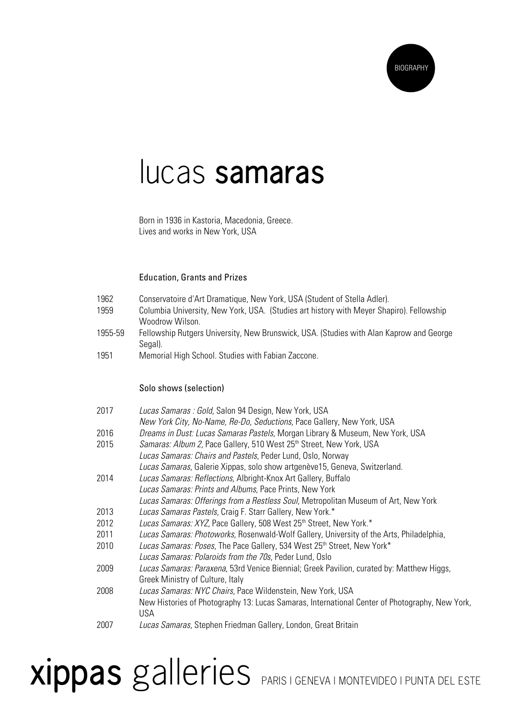

#### lucas **samaras**

Born in 1936 in Kastoria, Macedonia, Greece. Lives and works in New York, USA

#### Education, Grants and Prizes

- 1962 Conservatoire d'Art Dramatique, New York, USA (Student of Stella Adler).
- 1959 Columbia University, New York, USA. (Studies art history with Meyer Shapiro). Fellowship Woodrow Wilson.
- 1955-59 Fellowship Rutgers University, New Brunswick, USA. (Studies with Alan Kaprow and George Segal).
- 1951 Memorial High School. Studies with Fabian Zaccone.

#### Solo shows (selection)

| 2017 | Lucas Samaras : Gold, Salon 94 Design, New York, USA                                           |
|------|------------------------------------------------------------------------------------------------|
|      | New York City, No-Name, Re-Do, Seductions, Pace Gallery, New York, USA                         |
| 2016 | Dreams in Dust: Lucas Samaras Pastels, Morgan Library & Museum, New York, USA                  |
| 2015 | Samaras: Album 2, Pace Gallery, 510 West 25 <sup>th</sup> Street, New York, USA                |
|      | Lucas Samaras: Chairs and Pastels, Peder Lund, Oslo, Norway                                    |
|      | Lucas Samaras, Galerie Xippas, solo show artgenève15, Geneva, Switzerland.                     |
| 2014 | Lucas Samaras: Reflections, Albright-Knox Art Gallery, Buffalo                                 |
|      | Lucas Samaras: Prints and Albums, Pace Prints, New York                                        |
|      | Lucas Samaras: Offerings from a Restless Soul, Metropolitan Museum of Art, New York            |
| 2013 | Lucas Samaras Pastels, Craig F. Starr Gallery, New York.*                                      |
| 2012 | Lucas Samaras: XYZ, Pace Gallery, 508 West 25 <sup>th</sup> Street, New York.*                 |
| 2011 | Lucas Samaras: Photoworks, Rosenwald-Wolf Gallery, University of the Arts, Philadelphia,       |
| 2010 | Lucas Samaras: Poses, The Pace Gallery, 534 West 25th Street, New York*                        |
|      | Lucas Samaras: Polaroids from the 70s, Peder Lund, Oslo                                        |
| 2009 | Lucas Samaras: Paraxena, 53rd Venice Biennial; Greek Pavilion, curated by: Matthew Higgs,      |
|      | Greek Ministry of Culture, Italy                                                               |
| 2008 | Lucas Samaras: NYC Chairs, Pace Wildenstein, New York, USA                                     |
|      | New Histories of Photography 13: Lucas Samaras, International Center of Photography, New York, |
|      | <b>USA</b>                                                                                     |
| 2007 | Lucas Samaras, Stephen Friedman Gallery, London, Great Britain                                 |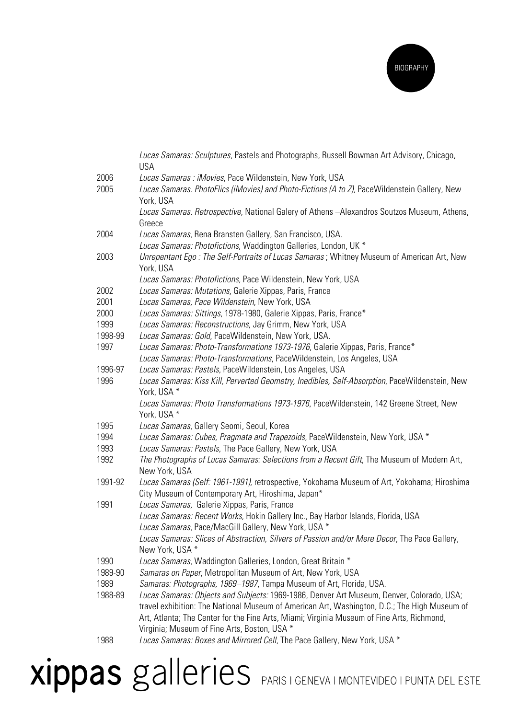

|              | Lucas Samaras: Sculptures, Pastels and Photographs, Russell Bowman Art Advisory, Chicago,<br><b>USA</b>                                                                                                                                                                                 |
|--------------|-----------------------------------------------------------------------------------------------------------------------------------------------------------------------------------------------------------------------------------------------------------------------------------------|
| 2006         | Lucas Samaras : iMovies, Pace Wildenstein, New York, USA                                                                                                                                                                                                                                |
| 2005         | Lucas Samaras. PhotoFlics (iMovies) and Photo-Fictions (A to Z), PaceWildenstein Gallery, New<br>York, USA                                                                                                                                                                              |
|              | Lucas Samaras. Retrospective, National Galery of Athens - Alexandros Soutzos Museum, Athens,<br>Greece                                                                                                                                                                                  |
| 2004         | Lucas Samaras, Rena Bransten Gallery, San Francisco, USA.<br>Lucas Samaras: Photofictions, Waddington Galleries, London, UK *                                                                                                                                                           |
| 2003         | Unrepentant Ego: The Self-Portraits of Lucas Samaras; Whitney Museum of American Art, New<br>York, USA                                                                                                                                                                                  |
|              | Lucas Samaras: Photofictions, Pace Wildenstein, New York, USA                                                                                                                                                                                                                           |
| 2002         | Lucas Samaras: Mutations, Galerie Xippas, Paris, France                                                                                                                                                                                                                                 |
| 2001         | Lucas Samaras, Pace Wildenstein, New York, USA                                                                                                                                                                                                                                          |
| 2000         | Lucas Samaras: Sittings, 1978-1980, Galerie Xippas, Paris, France*                                                                                                                                                                                                                      |
| 1999         | Lucas Samaras: Reconstructions, Jay Grimm, New York, USA                                                                                                                                                                                                                                |
| 1998-99      | Lucas Samaras: Gold, PaceWildenstein, New York, USA.                                                                                                                                                                                                                                    |
| 1997         | Lucas Samaras: Photo-Transformations 1973-1976, Galerie Xippas, Paris, France*                                                                                                                                                                                                          |
|              | Lucas Samaras: Photo-Transformations, PaceWildenstein, Los Angeles, USA                                                                                                                                                                                                                 |
| 1996-97      | Lucas Samaras: Pastels, PaceWildenstein, Los Angeles, USA                                                                                                                                                                                                                               |
| 1996         | Lucas Samaras: Kiss Kill, Perverted Geometry, Inedibles, Self-Absorption, PaceWildenstein, New<br>York, USA *                                                                                                                                                                           |
|              | Lucas Samaras: Photo Transformations 1973-1976, PaceWildenstein, 142 Greene Street, New<br>York, USA *                                                                                                                                                                                  |
| 1995         | Lucas Samaras, Gallery Seomi, Seoul, Korea                                                                                                                                                                                                                                              |
| 1994<br>1993 | Lucas Samaras: Cubes, Pragmata and Trapezoids, PaceWildenstein, New York, USA *<br>Lucas Samaras: Pastels, The Pace Gallery, New York, USA                                                                                                                                              |
| 1992         | The Photographs of Lucas Samaras: Selections from a Recent Gift, The Museum of Modern Art,<br>New York, USA                                                                                                                                                                             |
| 1991-92      | Lucas Samaras (Self: 1961-1991), retrospective, Yokohama Museum of Art, Yokohama; Hiroshima<br>City Museum of Contemporary Art, Hiroshima, Japan*                                                                                                                                       |
| 1991         | Lucas Samaras, Galerie Xippas, Paris, France                                                                                                                                                                                                                                            |
|              | Lucas Samaras: Recent Works, Hokin Gallery Inc., Bay Harbor Islands, Florida, USA<br>Lucas Samaras, Pace/MacGill Gallery, New York, USA *                                                                                                                                               |
|              | Lucas Samaras: Slices of Abstraction, Silvers of Passion and/or Mere Decor, The Pace Gallery,<br>New York, USA *                                                                                                                                                                        |
| 1990         | Lucas Samaras, Waddington Galleries, London, Great Britain *                                                                                                                                                                                                                            |
| 1989-90      | Samaras on Paper, Metropolitan Museum of Art, New York, USA                                                                                                                                                                                                                             |
| 1989         | Samaras: Photographs, 1969-1987, Tampa Museum of Art, Florida, USA.                                                                                                                                                                                                                     |
| 1988-89      | Lucas Samaras: Objects and Subjects: 1969-1986, Denver Art Museum, Denver, Colorado, USA;<br>travel exhibition: The National Museum of American Art, Washington, D.C.; The High Museum of<br>Art, Atlanta; The Center for the Fine Arts, Miami; Virginia Museum of Fine Arts, Richmond, |
|              | Virginia; Museum of Fine Arts, Boston, USA *                                                                                                                                                                                                                                            |
| 1988         | Lucas Samaras: Boxes and Mirrored Cell, The Pace Gallery, New York, USA *                                                                                                                                                                                                               |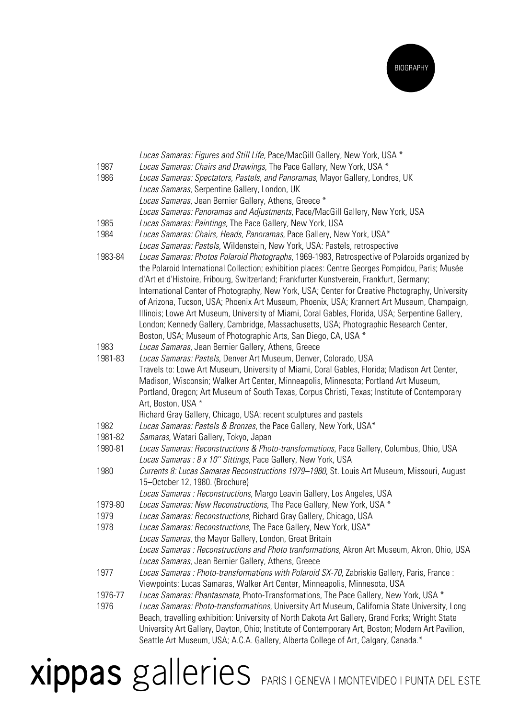

|         | Lucas Samaras: Figures and Still Life, Pace/MacGill Gallery, New York, USA *                      |
|---------|---------------------------------------------------------------------------------------------------|
| 1987    | Lucas Samaras: Chairs and Drawings, The Pace Gallery, New York, USA *                             |
| 1986    | Lucas Samaras: Spectators, Pastels, and Panoramas, Mayor Gallery, Londres, UK                     |
|         | Lucas Samaras, Serpentine Gallery, London, UK                                                     |
|         | Lucas Samaras, Jean Bernier Gallery, Athens, Greece *                                             |
|         | Lucas Samaras: Panoramas and Adjustments, Pace/MacGill Gallery, New York, USA                     |
| 1985    | Lucas Samaras: Paintings, The Pace Gallery, New York, USA                                         |
| 1984    | Lucas Samaras: Chairs, Heads, Panoramas, Pace Gallery, New York, USA*                             |
|         | Lucas Samaras: Pastels, Wildenstein, New York, USA: Pastels, retrospective                        |
| 1983-84 | Lucas Samaras: Photos Polaroid Photographs, 1969-1983, Retrospective of Polaroids organized by    |
|         | the Polaroid International Collection; exhibition places: Centre Georges Pompidou, Paris; Musée   |
|         | d'Art et d'Histoire, Fribourg, Switzerland; Frankfurter Kunstverein, Frankfurt, Germany;          |
|         | International Center of Photography, New York, USA; Center for Creative Photography, University   |
|         | of Arizona, Tucson, USA; Phoenix Art Museum, Phoenix, USA; Krannert Art Museum, Champaign,        |
|         | Illinois; Lowe Art Museum, University of Miami, Coral Gables, Florida, USA; Serpentine Gallery,   |
|         | London; Kennedy Gallery, Cambridge, Massachusetts, USA; Photographic Research Center,             |
|         | Boston, USA; Museum of Photographic Arts, San Diego, CA, USA *                                    |
| 1983    | Lucas Samaras, Jean Bernier Gallery, Athens, Greece                                               |
| 1981-83 | Lucas Samaras: Pastels, Denver Art Museum, Denver, Colorado, USA                                  |
|         | Travels to: Lowe Art Museum, University of Miami, Coral Gables, Florida; Madison Art Center,      |
|         | Madison, Wisconsin; Walker Art Center, Minneapolis, Minnesota; Portland Art Museum,               |
|         | Portland, Oregon; Art Museum of South Texas, Corpus Christi, Texas; Institute of Contemporary     |
|         | Art, Boston, USA *                                                                                |
|         | Richard Gray Gallery, Chicago, USA: recent sculptures and pastels                                 |
| 1982    | Lucas Samaras: Pastels & Bronzes, the Pace Gallery, New York, USA*                                |
| 1981-82 | Samaras, Watari Gallery, Tokyo, Japan                                                             |
| 1980-81 | Lucas Samaras: Reconstructions & Photo-transformations, Pace Gallery, Columbus, Ohio, USA         |
|         | Lucas Samaras : 8 x 10" Sittings, Pace Gallery, New York, USA                                     |
| 1980    | Currents 8: Lucas Samaras Reconstructions 1979-1980, St. Louis Art Museum, Missouri, August       |
|         | 15-October 12, 1980. (Brochure)                                                                   |
|         | Lucas Samaras : Reconstructions, Margo Leavin Gallery, Los Angeles, USA                           |
| 1979-80 | Lucas Samaras: New Reconstructions, The Pace Gallery, New York, USA *                             |
| 1979    | Lucas Samaras: Reconstructions, Richard Gray Gallery, Chicago, USA                                |
| 1978    | Lucas Samaras: Reconstructions, The Pace Gallery, New York, USA*                                  |
|         | Lucas Samaras, the Mayor Gallery, London, Great Britain                                           |
|         | Lucas Samaras: Reconstructions and Photo tranformations, Akron Art Museum, Akron, Ohio, USA       |
|         | Lucas Samaras, Jean Bernier Gallery, Athens, Greece                                               |
| 1977    | Lucas Samaras : Photo-transformations with Polaroid SX-70, Zabriskie Gallery, Paris, France :     |
|         | Viewpoints: Lucas Samaras, Walker Art Center, Minneapolis, Minnesota, USA                         |
| 1976-77 | Lucas Samaras: Phantasmata, Photo-Transformations, The Pace Gallery, New York, USA *              |
| 1976    | Lucas Samaras: Photo-transformations, University Art Museum, California State University, Long    |
|         | Beach, travelling exhibition: University of North Dakota Art Gallery, Grand Forks; Wright State   |
|         |                                                                                                   |
|         | University Art Gallery, Dayton, Ohio; Institute of Contemporary Art, Boston; Modern Art Pavilion, |
|         | Seattle Art Museum, USA; A.C.A. Gallery, Alberta College of Art, Calgary, Canada.*                |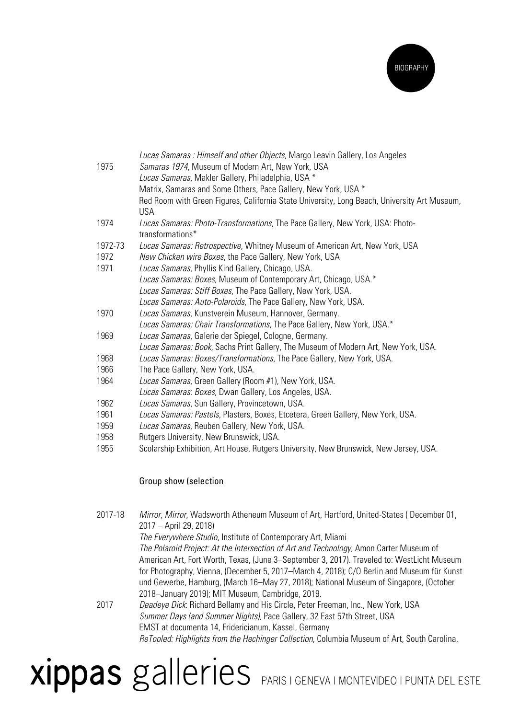

| 1975    | Lucas Samaras: Himself and other Objects, Margo Leavin Gallery, Los Angeles<br>Samaras 1974, Museum of Modern Art, New York, USA<br>Lucas Samaras, Makler Gallery, Philadelphia, USA *<br>Matrix, Samaras and Some Others, Pace Gallery, New York, USA *<br>Red Room with Green Figures, California State University, Long Beach, University Art Museum,<br><b>USA</b> |
|---------|------------------------------------------------------------------------------------------------------------------------------------------------------------------------------------------------------------------------------------------------------------------------------------------------------------------------------------------------------------------------|
| 1974    | Lucas Samaras: Photo-Transformations, The Pace Gallery, New York, USA: Photo-<br>transformations*                                                                                                                                                                                                                                                                      |
| 1972-73 | Lucas Samaras: Retrospective, Whitney Museum of American Art, New York, USA                                                                                                                                                                                                                                                                                            |
| 1972    | New Chicken wire Boxes, the Pace Gallery, New York, USA                                                                                                                                                                                                                                                                                                                |
| 1971    | Lucas Samaras, Phyllis Kind Gallery, Chicago, USA.                                                                                                                                                                                                                                                                                                                     |
|         | Lucas Samaras: Boxes, Museum of Contemporary Art, Chicago, USA.*                                                                                                                                                                                                                                                                                                       |
|         | Lucas Samaras: Stiff Boxes, The Pace Gallery, New York, USA.                                                                                                                                                                                                                                                                                                           |
|         | Lucas Samaras: Auto-Polaroids, The Pace Gallery, New York, USA.                                                                                                                                                                                                                                                                                                        |
| 1970    | Lucas Samaras, Kunstverein Museum, Hannover, Germany.                                                                                                                                                                                                                                                                                                                  |
|         | Lucas Samaras: Chair Transformations, The Pace Gallery, New York, USA.*                                                                                                                                                                                                                                                                                                |
| 1969    | Lucas Samaras, Galerie der Spiegel, Cologne, Germany.                                                                                                                                                                                                                                                                                                                  |
|         | Lucas Samaras: Book, Sachs Print Gallery, The Museum of Modern Art, New York, USA.                                                                                                                                                                                                                                                                                     |
| 1968    | Lucas Samaras: Boxes/Transformations, The Pace Gallery, New York, USA.                                                                                                                                                                                                                                                                                                 |
| 1966    | The Pace Gallery, New York, USA.                                                                                                                                                                                                                                                                                                                                       |
| 1964    | Lucas Samaras, Green Gallery (Room #1), New York, USA.                                                                                                                                                                                                                                                                                                                 |
|         | Lucas Samaras: Boxes, Dwan Gallery, Los Angeles, USA.                                                                                                                                                                                                                                                                                                                  |
| 1962    | Lucas Samaras, Sun Gallery, Provincetown, USA.                                                                                                                                                                                                                                                                                                                         |
| 1961    | Lucas Samaras: Pastels, Plasters, Boxes, Etcetera, Green Gallery, New York, USA.                                                                                                                                                                                                                                                                                       |
| 1959    | Lucas Samaras, Reuben Gallery, New York, USA.                                                                                                                                                                                                                                                                                                                          |
| 1958    | Rutgers University, New Brunswick, USA.                                                                                                                                                                                                                                                                                                                                |
| 1955    | Scolarship Exhibition, Art House, Rutgers University, New Brunswick, New Jersey, USA.                                                                                                                                                                                                                                                                                  |

#### Group show (selection

| 2017-18 | Mirror, Mirror, Wadsworth Atheneum Museum of Art, Hartford, United-States (December 01,<br>2017 - April 29, 2018) |
|---------|-------------------------------------------------------------------------------------------------------------------|
|         | The Everywhere Studio, Institute of Contemporary Art, Miami                                                       |
|         | The Polaroid Project: At the Intersection of Art and Technology, Amon Carter Museum of                            |
|         | American Art, Fort Worth, Texas, (June 3-September 3, 2017). Traveled to: WestLicht Museum                        |
|         | for Photography, Vienna, (December 5, 2017–March 4, 2018); C/O Berlin and Museum für Kunst                        |
|         | und Gewerbe, Hamburg, (March 16–May 27, 2018); National Museum of Singapore, (October                             |
|         | 2018-January 2019); MIT Museum, Cambridge, 2019.                                                                  |
| 2017    | Deadeye Dick: Richard Bellamy and His Circle, Peter Freeman, Inc., New York, USA                                  |
|         | Summer Days (and Summer Nights), Pace Gallery, 32 East 57th Street, USA                                           |
|         | EMST at documenta 14, Fridericianum, Kassel, Germany                                                              |
|         | ReTooled: Highlights from the Hechinger Collection, Columbia Museum of Art, South Carolina,                       |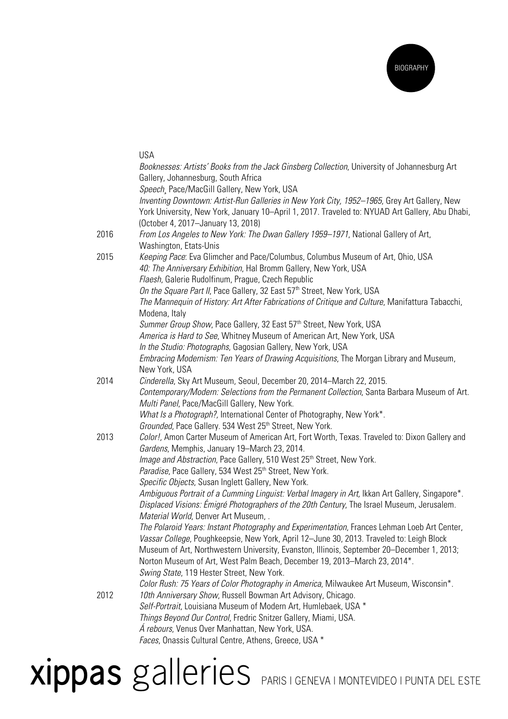

|      | <b>USA</b>                                                                                                                                          |
|------|-----------------------------------------------------------------------------------------------------------------------------------------------------|
|      | Booknesses: Artists' Books from the Jack Ginsberg Collection, University of Johannesburg Art<br>Gallery, Johannesburg, South Africa                 |
|      | Speech, Pace/MacGill Gallery, New York, USA                                                                                                         |
|      | Inventing Downtown: Artist-Run Galleries in New York City, 1952-1965, Grey Art Gallery, New                                                         |
|      | York University, New York, January 10–April 1, 2017. Traveled to: NYUAD Art Gallery, Abu Dhabi,<br>(October 4, 2017-January 13, 2018)               |
| 2016 | From Los Angeles to New York: The Dwan Gallery 1959-1971, National Gallery of Art,<br>Washington, Etats-Unis                                        |
| 2015 | Keeping Pace: Eva Glimcher and Pace/Columbus, Columbus Museum of Art, Ohio, USA<br>40: The Anniversary Exhibition, Hal Bromm Gallery, New York, USA |
|      | Flaesh, Galerie Rudolfinum, Prague, Czech Republic                                                                                                  |
|      | On the Square Part II, Pace Gallery, 32 East 57th Street, New York, USA                                                                             |
|      | The Mannequin of History: Art After Fabrications of Critique and Culture, Manifattura Tabacchi,                                                     |
|      | Modena, Italy                                                                                                                                       |
|      | Summer Group Show, Pace Gallery, 32 East 57th Street, New York, USA                                                                                 |
|      | America is Hard to See, Whitney Museum of American Art, New York, USA                                                                               |
|      | In the Studio: Photographs, Gagosian Gallery, New York, USA                                                                                         |
|      | Embracing Modernism: Ten Years of Drawing Acquisitions, The Morgan Library and Museum,<br>New York, USA                                             |
| 2014 | Cinderella, Sky Art Museum, Seoul, December 20, 2014-March 22, 2015.                                                                                |
|      | Contemporary/Modern: Selections from the Permanent Collection, Santa Barbara Museum of Art.<br>Multi Panel, Pace/MacGill Gallery, New York.         |
|      | What Is a Photograph?, International Center of Photography, New York*.                                                                              |
|      | Grounded, Pace Gallery. 534 West 25th Street, New York.                                                                                             |
| 2013 | Color!, Amon Carter Museum of American Art, Fort Worth, Texas. Traveled to: Dixon Gallery and<br>Gardens, Memphis, January 19-March 23, 2014.       |
|      | <i>Image and Abstraction</i> , Pace Gallery, 510 West 25 <sup>th</sup> Street, New York.                                                            |
|      | Paradise, Pace Gallery, 534 West 25 <sup>th</sup> Street, New York.                                                                                 |
|      | Specific Objects, Susan Inglett Gallery, New York.                                                                                                  |
|      | Ambiguous Portrait of a Cumming Linguist: Verbal Imagery in Art, Ikkan Art Gallery, Singapore*.                                                     |
|      | Displaced Visions: Émigré Photographers of the 20th Century, The Israel Museum, Jerusalem.<br>Material World, Denver Art Museum,                    |
|      | The Polaroid Years: Instant Photography and Experimentation, Frances Lehman Loeb Art Center,                                                        |
|      | Vassar College, Poughkeepsie, New York, April 12-June 30, 2013. Traveled to: Leigh Block                                                            |
|      | Museum of Art, Northwestern University, Evanston, Illinois, September 20–December 1, 2013;                                                          |
|      | Norton Museum of Art, West Palm Beach, December 19, 2013–March 23, 2014*.                                                                           |
|      | Swing State, 119 Hester Street, New York.                                                                                                           |
|      | Color Rush: 75 Years of Color Photography in America, Milwaukee Art Museum, Wisconsin*.                                                             |
| 2012 | 10th Anniversary Show, Russell Bowman Art Advisory, Chicago.                                                                                        |
|      | Self-Portrait, Louisiana Museum of Modern Art, Humlebaek, USA *                                                                                     |
|      | Things Beyond Our Control, Fredric Snitzer Gallery, Miami, USA.                                                                                     |
|      |                                                                                                                                                     |
|      | Á rebours, Venus Over Manhattan, New York, USA.                                                                                                     |
|      | Faces, Onassis Cultural Centre, Athens, Greece, USA *                                                                                               |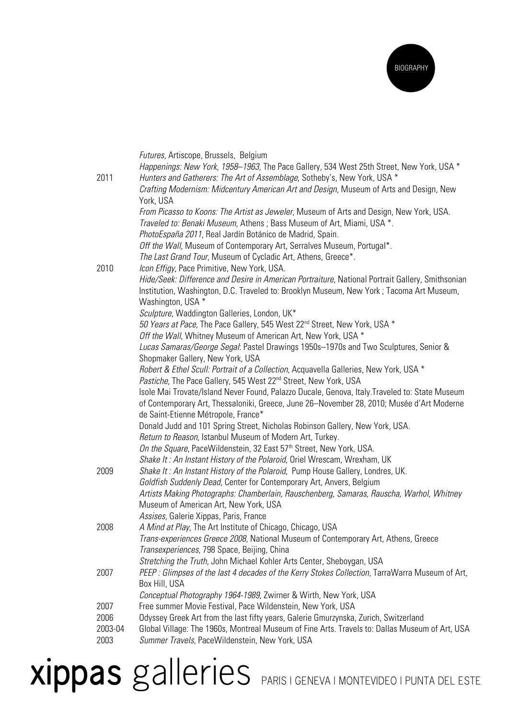

| 2011            | Futures, Artiscope, Brussels, Belgium<br>Happenings: New York, 1958–1963, The Pace Gallery, 534 West 25th Street, New York, USA *<br>Hunters and Gatherers: The Art of Assemblage, Sotheby's, New York, USA *<br>Crafting Modernism: Midcentury American Art and Design, Museum of Arts and Design, New             |
|-----------------|---------------------------------------------------------------------------------------------------------------------------------------------------------------------------------------------------------------------------------------------------------------------------------------------------------------------|
|                 | York, USA<br>From Picasso to Koons: The Artist as Jeweler, Museum of Arts and Design, New York, USA.<br>Traveled to: Benaki Museum, Athens; Bass Museum of Art, Miami, USA *.<br>PhotoEspaña 2011, Real Jardín Botánico de Madrid, Spain.<br>Off the Wall, Museum of Contemporary Art, Serralves Museum, Portugal*. |
|                 | The Last Grand Tour, Museum of Cycladic Art, Athens, Greece*.                                                                                                                                                                                                                                                       |
| 2010            | Icon Effigy, Pace Primitive, New York, USA.<br>Hide/Seek: Difference and Desire in American Portraiture, National Portrait Gallery, Smithsonian<br>Institution, Washington, D.C. Traveled to: Brooklyn Museum, New York; Tacoma Art Museum,<br>Washington, USA *                                                    |
|                 | Sculpture, Waddington Galleries, London, UK*                                                                                                                                                                                                                                                                        |
|                 | 50 Years at Pace, The Pace Gallery, 545 West 22 <sup>nd</sup> Street, New York, USA *<br>Off the Wall, Whitney Museum of American Art, New York, USA *                                                                                                                                                              |
|                 | Lucas Samaras/George Segal: Pastel Drawings 1950s-1970s and Two Sculptures, Senior &<br>Shopmaker Gallery, New York, USA                                                                                                                                                                                            |
|                 | Robert & Ethel Scull: Portrait of a Collection, Acquavella Galleries, New York, USA *<br>Pastiche, The Pace Gallery, 545 West 22 <sup>nd</sup> Street, New York, USA                                                                                                                                                |
|                 | Isole Mai Trovate/Island Never Found, Palazzo Ducale, Genova, Italy.Traveled to: State Museum<br>of Contemporary Art, Thessaloniki, Greece, June 26-November 28, 2010; Musée d'Art Moderne<br>de Saint-Etienne Métropole, France*                                                                                   |
|                 | Donald Judd and 101 Spring Street, Nicholas Robinson Gallery, New York, USA.                                                                                                                                                                                                                                        |
|                 | Return to Reason, Istanbul Museum of Modern Art, Turkey.                                                                                                                                                                                                                                                            |
|                 | On the Square, PaceWildenstein, 32 East 57 <sup>th</sup> Street, New York, USA.<br>Shake It: An Instant History of the Polaroid, Oriel Wrescam, Wrexham, UK                                                                                                                                                         |
| 2009            | Shake It: An Instant History of the Polaroid, Pump House Gallery, Londres, UK.                                                                                                                                                                                                                                      |
|                 | Goldfish Suddenly Dead, Center for Contemporary Art, Anvers, Belgium<br>Artists Making Photographs: Chamberlain, Rauschenberg, Samaras, Rauscha, Warhol, Whitney                                                                                                                                                    |
|                 | Museum of American Art, New York, USA<br>Assises, Galerie Xippas, Paris, France                                                                                                                                                                                                                                     |
| 2008            | A Mind at Play, The Art Institute of Chicago, Chicago, USA                                                                                                                                                                                                                                                          |
|                 | Trans-experiences Greece 2008, National Museum of Contemporary Art, Athens, Greece<br>Transexperiences, 798 Space, Beijing, China                                                                                                                                                                                   |
| 2007            | Stretching the Truth, John Michael Kohler Arts Center, Sheboygan, USA<br>PEEP: Glimpses of the last 4 decades of the Kerry Stokes Collection, TarraWarra Museum of Art,                                                                                                                                             |
|                 | Box Hill, USA<br>Conceptual Photography 1964-1989, Zwirner & Wirth, New York, USA                                                                                                                                                                                                                                   |
| 2007            | Free summer Movie Festival, Pace Wildenstein, New York, USA                                                                                                                                                                                                                                                         |
| 2006<br>2003-04 | Odyssey Greek Art from the last fifty years, Galerie Gmurzynska, Zurich, Switzerland<br>Global Village: The 1960s, Montreal Museum of Fine Arts. Travels to: Dallas Museum of Art, USA                                                                                                                              |
| 2003            | Summer Travels, PaceWildenstein, New York, USA                                                                                                                                                                                                                                                                      |
|                 |                                                                                                                                                                                                                                                                                                                     |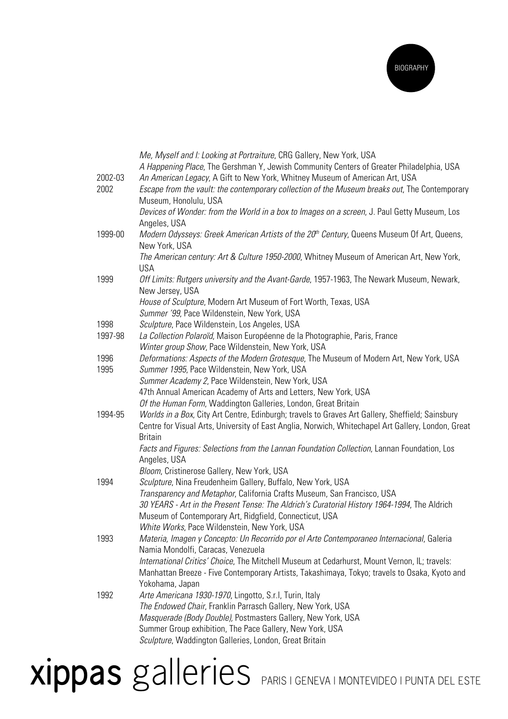

|         | Me, Myself and I: Looking at Portraiture, CRG Gallery, New York, USA                                   |
|---------|--------------------------------------------------------------------------------------------------------|
|         | A Happening Place, The Gershman Y, Jewish Community Centers of Greater Philadelphia, USA               |
| 2002-03 | An American Legacy, A Gift to New York, Whitney Museum of American Art, USA                            |
| 2002    | Escape from the vault: the contemporary collection of the Museum breaks out, The Contemporary          |
|         | Museum, Honolulu, USA                                                                                  |
|         | Devices of Wonder: from the World in a box to Images on a screen, J. Paul Getty Museum, Los            |
|         | Angeles, USA                                                                                           |
| 1999-00 | Modern Odysseys: Greek American Artists of the 20 <sup>th</sup> Century, Queens Museum Of Art, Queens, |
|         | New York, USA                                                                                          |
|         | The American century: Art & Culture 1950-2000, Whitney Museum of American Art, New York,               |
|         | <b>USA</b>                                                                                             |
| 1999    | Off Limits: Rutgers university and the Avant-Garde, 1957-1963, The Newark Museum, Newark,              |
|         | New Jersey, USA                                                                                        |
|         | House of Sculpture, Modern Art Museum of Fort Worth, Texas, USA                                        |
|         | Summer '99, Pace Wildenstein, New York, USA                                                            |
| 1998    | Sculpture, Pace Wildenstein, Los Angeles, USA                                                          |
| 1997-98 | La Collection Polaroïd, Maison Européenne de la Photographie, Paris, France                            |
|         | Winter group Show, Pace Wildenstein, New York, USA                                                     |
| 1996    | Deformations: Aspects of the Modern Grotesque, The Museum of Modern Art, New York, USA                 |
| 1995    | Summer 1995, Pace Wildenstein, New York, USA                                                           |
|         | Summer Academy 2, Pace Wildenstein, New York, USA                                                      |
|         | 47th Annual American Academy of Arts and Letters, New York, USA                                        |
|         | Of the Human Form, Waddington Galleries, London, Great Britain                                         |
| 1994-95 | Worlds in a Box, City Art Centre, Edinburgh; travels to Graves Art Gallery, Sheffield; Sainsbury       |
|         | Centre for Visual Arts, University of East Anglia, Norwich, Whitechapel Art Gallery, London, Great     |
|         | <b>Britain</b>                                                                                         |
|         | Facts and Figures: Selections from the Lannan Foundation Collection, Lannan Foundation, Los            |
|         | Angeles, USA                                                                                           |
|         | Bloom, Cristinerose Gallery, New York, USA                                                             |
| 1994    | Sculpture, Nina Freudenheim Gallery, Buffalo, New York, USA                                            |
|         | Transparency and Metaphor, California Crafts Museum, San Francisco, USA                                |
|         | 30 YEARS - Art in the Present Tense: The Aldrich's Curatorial History 1964-1994, The Aldrich           |
|         | Museum of Contemporary Art, Ridgfield, Connecticut, USA                                                |
|         | White Works, Pace Wildenstein, New York, USA                                                           |
| 1993    | Materia, Imagen y Concepto: Un Recorrido por el Arte Contemporaneo Internacional, Galeria              |
|         | Namia Mondolfi, Caracas, Venezuela                                                                     |
|         | International Critics' Choice, The Mitchell Museum at Cedarhurst, Mount Vernon, IL; travels:           |
|         | Manhattan Breeze - Five Contemporary Artists, Takashimaya, Tokyo; travels to Osaka, Kyoto and          |
|         | Yokohama, Japan                                                                                        |
| 1992    | Arte Americana 1930-1970, Lingotto, S.r.I, Turin, Italy                                                |
|         | The Endowed Chair, Franklin Parrasch Gallery, New York, USA                                            |
|         | Masquerade (Body Double), Postmasters Gallery, New York, USA                                           |
|         | Summer Group exhibition, The Pace Gallery, New York, USA                                               |
|         | Sculpture, Waddington Galleries, London, Great Britain                                                 |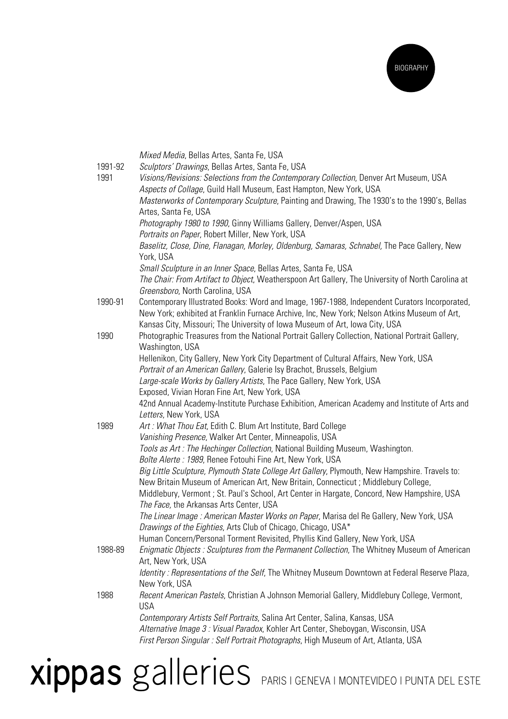

|         | Mixed Media, Bellas Artes, Santa Fe, USA                                                                                                                |
|---------|---------------------------------------------------------------------------------------------------------------------------------------------------------|
| 1991-92 | Sculptors' Drawings, Bellas Artes, Santa Fe, USA                                                                                                        |
| 1991    | Visions/Revisions: Selections from the Contemporary Collection, Denver Art Museum, USA                                                                  |
|         | Aspects of Collage, Guild Hall Museum, East Hampton, New York, USA                                                                                      |
|         | Masterworks of Contemporary Sculpture, Painting and Drawing, The 1930's to the 1990's, Bellas                                                           |
|         | Artes, Santa Fe, USA<br>Photography 1980 to 1990, Ginny Williams Gallery, Denver/Aspen, USA                                                             |
|         | Portraits on Paper, Robert Miller, New York, USA                                                                                                        |
|         | Baselitz, Close, Dine, Flanagan, Morley, Oldenburg, Samaras, Schnabel, The Pace Gallery, New                                                            |
|         | York, USA                                                                                                                                               |
|         | Small Sculpture in an Inner Space, Bellas Artes, Santa Fe, USA                                                                                          |
|         | The Chair: From Artifact to Object, Weatherspoon Art Gallery, The University of North Carolina at                                                       |
|         | Greensboro, North Carolina, USA                                                                                                                         |
| 1990-91 | Contemporary Illustrated Books: Word and Image, 1967-1988, Independent Curators Incorporated,                                                           |
|         | New York; exhibited at Franklin Furnace Archive, Inc, New York; Nelson Atkins Museum of Art,                                                            |
|         | Kansas City, Missouri; The University of Iowa Museum of Art, Iowa City, USA                                                                             |
| 1990    | Photographic Treasures from the National Portrait Gallery Collection, National Portrait Gallery,                                                        |
|         | Washington, USA                                                                                                                                         |
|         | Hellenikon, City Gallery, New York City Department of Cultural Affairs, New York, USA                                                                   |
|         | Portrait of an American Gallery, Galerie Isy Brachot, Brussels, Belgium                                                                                 |
|         | Large-scale Works by Gallery Artists, The Pace Gallery, New York, USA<br>Exposed, Vivian Horan Fine Art, New York, USA                                  |
|         | 42nd Annual Academy-Institute Purchase Exhibition, American Academy and Institute of Arts and                                                           |
|         | Letters, New York, USA                                                                                                                                  |
| 1989    | Art: What Thou Eat, Edith C. Blum Art Institute, Bard College                                                                                           |
|         | Vanishing Presence, Walker Art Center, Minneapolis, USA                                                                                                 |
|         | Tools as Art: The Hechinger Collection, National Building Museum, Washington.                                                                           |
|         | Boîte Alerte: 1989, Renee Fotouhi Fine Art, New York, USA                                                                                               |
|         | Big Little Sculpture, Plymouth State College Art Gallery, Plymouth, New Hampshire. Travels to:                                                          |
|         | New Britain Museum of American Art, New Britain, Connecticut; Middlebury College,                                                                       |
|         | Middlebury, Vermont; St. Paul's School, Art Center in Hargate, Concord, New Hampshire, USA                                                              |
|         | The Face, the Arkansas Arts Center, USA                                                                                                                 |
|         | The Linear Image: American Master Works on Paper, Marisa del Re Gallery, New York, USA<br>Drawings of the Eighties, Arts Club of Chicago, Chicago, USA* |
|         | Human Concern/Personal Torment Revisited, Phyllis Kind Gallery, New York, USA                                                                           |
| 1988-89 | Enigmatic Objects : Sculptures from the Permanent Collection, The Whitney Museum of American                                                            |
|         | Art, New York, USA                                                                                                                                      |
|         | Identity: Representations of the Self, The Whitney Museum Downtown at Federal Reserve Plaza,                                                            |
|         | New York, USA                                                                                                                                           |
| 1988    | Recent American Pastels, Christian A Johnson Memorial Gallery, Middlebury College, Vermont,                                                             |
|         | <b>USA</b>                                                                                                                                              |
|         | Contemporary Artists Self Portraits, Salina Art Center, Salina, Kansas, USA                                                                             |
|         | Alternative Image 3: Visual Paradox, Kohler Art Center, Sheboygan, Wisconsin, USA                                                                       |
|         | First Person Singular: Self Portrait Photographs, High Museum of Art, Atlanta, USA                                                                      |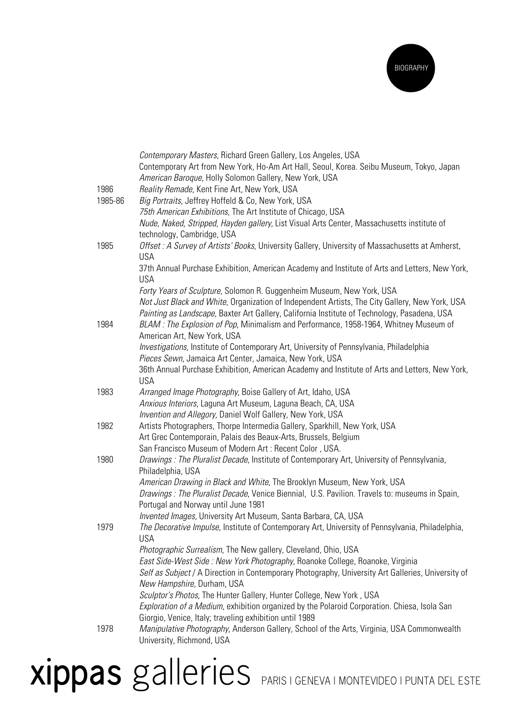

|         | Contemporary Masters, Richard Green Gallery, Los Angeles, USA                                                                                    |
|---------|--------------------------------------------------------------------------------------------------------------------------------------------------|
|         | Contemporary Art from New York, Ho-Am Art Hall, Seoul, Korea. Seibu Museum, Tokyo, Japan                                                         |
|         | American Baroque, Holly Solomon Gallery, New York, USA                                                                                           |
| 1986    | Reality Remade, Kent Fine Art, New York, USA                                                                                                     |
| 1985-86 | Big Portraits, Jeffrey Hoffeld & Co, New York, USA                                                                                               |
|         | 75th American Exhibitions, The Art Institute of Chicago, USA                                                                                     |
|         | Nude, Naked, Stripped, Hayden gallery, List Visual Arts Center, Massachusetts institute of                                                       |
|         | technology, Cambridge, USA                                                                                                                       |
| 1985    | Offset: A Survey of Artists' Books, University Gallery, University of Massachusetts at Amherst,                                                  |
|         | <b>USA</b>                                                                                                                                       |
|         | 37th Annual Purchase Exhibition, American Academy and Institute of Arts and Letters, New York,                                                   |
|         | <b>USA</b>                                                                                                                                       |
|         | Forty Years of Sculpture, Solomon R. Guggenheim Museum, New York, USA                                                                            |
|         | Not Just Black and White, Organization of Independent Artists, The City Gallery, New York, USA                                                   |
|         | Painting as Landscape, Baxter Art Gallery, California Institute of Technology, Pasadena, USA                                                     |
| 1984    | BLAM: The Explosion of Pop, Minimalism and Performance, 1958-1964, Whitney Museum of                                                             |
|         | American Art, New York, USA                                                                                                                      |
|         | Investigations, Institute of Contemporary Art, University of Pennsylvania, Philadelphia                                                          |
|         | Pieces Sewn, Jamaica Art Center, Jamaica, New York, USA                                                                                          |
|         | 36th Annual Purchase Exhibition, American Academy and Institute of Arts and Letters, New York,                                                   |
|         | <b>USA</b>                                                                                                                                       |
| 1983    | Arranged Image Photography, Boise Gallery of Art, Idaho, USA                                                                                     |
|         | Anxious Interiors, Laguna Art Museum, Laguna Beach, CA, USA                                                                                      |
|         | Invention and Allegory, Daniel Wolf Gallery, New York, USA                                                                                       |
| 1982    | Artists Photographers, Thorpe Intermedia Gallery, Sparkhill, New York, USA                                                                       |
|         | Art Grec Contemporain, Palais des Beaux-Arts, Brussels, Belgium                                                                                  |
|         | San Francisco Museum of Modern Art: Recent Color, USA.                                                                                           |
| 1980    | Drawings: The Pluralist Decade, Institute of Contemporary Art, University of Pennsylvania,                                                       |
|         | Philadelphia, USA                                                                                                                                |
|         | American Drawing in Black and White, The Brooklyn Museum, New York, USA                                                                          |
|         | Drawings: The Pluralist Decade, Venice Biennial, U.S. Pavilion. Travels to: museums in Spain,                                                    |
|         | Portugal and Norway until June 1981                                                                                                              |
|         | Invented Images, University Art Museum, Santa Barbara, CA, USA                                                                                   |
| 1979    | The Decorative Impulse, Institute of Contemporary Art, University of Pennsylvania, Philadelphia,                                                 |
|         | <b>USA</b>                                                                                                                                       |
|         | Photographic Surrealism, The New gallery, Cleveland, Ohio, USA<br>East Side-West Side : New York Photography, Roanoke College, Roanoke, Virginia |
|         | Self as Subject / A Direction in Contemporary Photography, University Art Galleries, University of                                               |
|         | New Hampshire, Durham, USA                                                                                                                       |
|         | Sculptor's Photos, The Hunter Gallery, Hunter College, New York, USA                                                                             |
|         | Exploration of a Medium, exhibition organized by the Polaroid Corporation. Chiesa, Isola San                                                     |
|         | Giorgio, Venice, Italy; traveling exhibition until 1989                                                                                          |
| 1978    | Manipulative Photography, Anderson Gallery, School of the Arts, Virginia, USA Commonwealth                                                       |
|         | University, Richmond, USA                                                                                                                        |
|         |                                                                                                                                                  |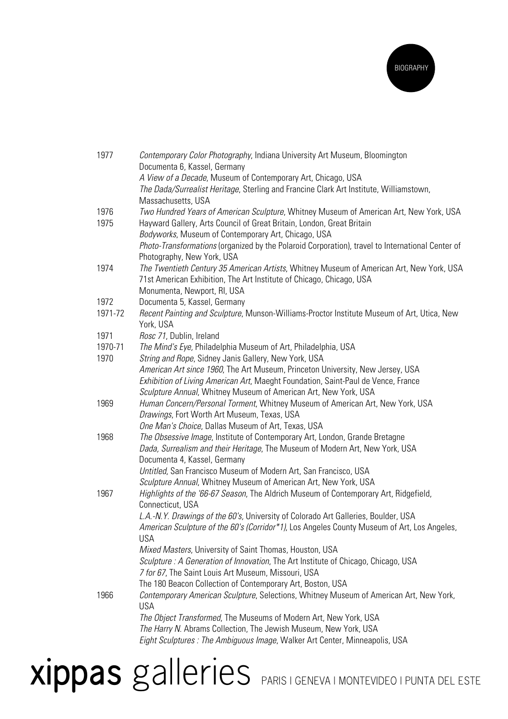

| 1977         | Contemporary Color Photography, Indiana University Art Museum, Bloomington<br>Documenta 6, Kassel, Germany                                                      |
|--------------|-----------------------------------------------------------------------------------------------------------------------------------------------------------------|
|              | A View of a Decade, Museum of Contemporary Art, Chicago, USA                                                                                                    |
|              | The Dada/Surrealist Heritage, Sterling and Francine Clark Art Institute, Williamstown,                                                                          |
|              | Massachusetts, USA                                                                                                                                              |
| 1976<br>1975 | Two Hundred Years of American Sculpture, Whitney Museum of American Art, New York, USA<br>Hayward Gallery, Arts Council of Great Britain, London, Great Britain |
|              | Bodyworks, Museum of Contemporary Art, Chicago, USA                                                                                                             |
|              | Photo-Transformations (organized by the Polaroid Corporation), travel to International Center of<br>Photography, New York, USA                                  |
| 1974         | The Twentieth Century 35 American Artists, Whitney Museum of American Art, New York, USA                                                                        |
|              | 71st American Exhibition, The Art Institute of Chicago, Chicago, USA                                                                                            |
|              | Monumenta, Newport, RI, USA                                                                                                                                     |
| 1972         | Documenta 5, Kassel, Germany                                                                                                                                    |
| 1971-72      | Recent Painting and Sculpture, Munson-Williams-Proctor Institute Museum of Art, Utica, New                                                                      |
|              | York, USA                                                                                                                                                       |
| 1971         | Rosc 71, Dublin, Ireland                                                                                                                                        |
| 1970-71      | The Mind's Eye, Philadelphia Museum of Art, Philadelphia, USA                                                                                                   |
| 1970         | String and Rope, Sidney Janis Gallery, New York, USA                                                                                                            |
|              | American Art since 1960, The Art Museum, Princeton University, New Jersey, USA                                                                                  |
|              | Exhibition of Living American Art, Maeght Foundation, Saint-Paul de Vence, France                                                                               |
|              | Sculpture Annual, Whitney Museum of American Art, New York, USA                                                                                                 |
| 1969         | Human Concern/Personal Torment, Whitney Museum of American Art, New York, USA                                                                                   |
|              | Drawings, Fort Worth Art Museum, Texas, USA                                                                                                                     |
|              | One Man's Choice, Dallas Museum of Art, Texas, USA                                                                                                              |
| 1968         | The Obsessive Image, Institute of Contemporary Art, London, Grande Bretagne                                                                                     |
|              | Dada, Surrealism and their Heritage, The Museum of Modern Art, New York, USA                                                                                    |
|              | Documenta 4, Kassel, Germany                                                                                                                                    |
|              | Untitled, San Francisco Museum of Modern Art, San Francisco, USA                                                                                                |
|              | Sculpture Annual, Whitney Museum of American Art, New York, USA                                                                                                 |
| 1967         | Highlights of the '66-67 Season, The Aldrich Museum of Contemporary Art, Ridgefield,                                                                            |
|              | Connecticut, USA                                                                                                                                                |
|              | L.A.-N.Y. Drawings of the 60's, University of Colorado Art Galleries, Boulder, USA                                                                              |
|              | American Sculpture of the 60's (Corridor*1), Los Angeles County Museum of Art, Los Angeles,                                                                     |
|              | <b>USA</b>                                                                                                                                                      |
|              | Mixed Masters, University of Saint Thomas, Houston, USA                                                                                                         |
|              | Sculpture : A Generation of Innovation, The Art Institute of Chicago, Chicago, USA                                                                              |
|              | 7 for 67, The Saint Louis Art Museum, Missouri, USA                                                                                                             |
|              | The 180 Beacon Collection of Contemporary Art, Boston, USA                                                                                                      |
| 1966         | Contemporary American Sculpture, Selections, Whitney Museum of American Art, New York,<br><b>USA</b>                                                            |
|              | The Object Transformed, The Museums of Modern Art, New York, USA                                                                                                |
|              | The Harry N. Abrams Collection, The Jewish Museum, New York, USA                                                                                                |
|              | Eight Sculptures : The Ambiguous Image, Walker Art Center, Minneapolis, USA                                                                                     |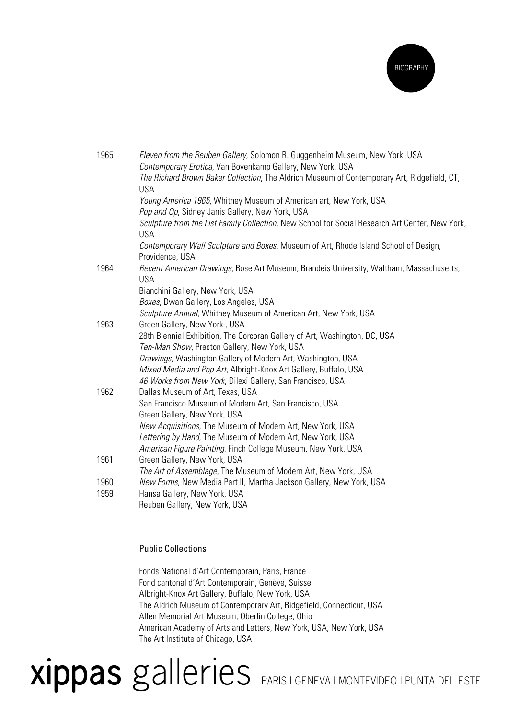

| 1965 | Eleven from the Reuben Gallery, Solomon R. Guggenheim Museum, New York, USA                                                                               |
|------|-----------------------------------------------------------------------------------------------------------------------------------------------------------|
|      | Contemporary Erotica, Van Bovenkamp Gallery, New York, USA<br>The Richard Brown Baker Collection, The Aldrich Museum of Contemporary Art, Ridgefield, CT, |
|      | <b>USA</b>                                                                                                                                                |
|      | Young America 1965, Whitney Museum of American art, New York, USA                                                                                         |
|      | Pop and Op, Sidney Janis Gallery, New York, USA                                                                                                           |
|      | Sculpture from the List Family Collection, New School for Social Research Art Center, New York,<br><b>USA</b>                                             |
|      | Contemporary Wall Sculpture and Boxes, Museum of Art, Rhode Island School of Design,<br>Providence, USA                                                   |
| 1964 | Recent American Drawings, Rose Art Museum, Brandeis University, Waltham, Massachusetts,                                                                   |
|      | <b>USA</b>                                                                                                                                                |
|      | Bianchini Gallery, New York, USA<br>Boxes, Dwan Gallery, Los Angeles, USA                                                                                 |
|      | Sculpture Annual, Whitney Museum of American Art, New York, USA                                                                                           |
| 1963 | Green Gallery, New York, USA                                                                                                                              |
|      | 28th Biennial Exhibition, The Corcoran Gallery of Art, Washington, DC, USA                                                                                |
|      | Ten-Man Show, Preston Gallery, New York, USA                                                                                                              |
|      | Drawings, Washington Gallery of Modern Art, Washington, USA                                                                                               |
|      | Mixed Media and Pop Art, Albright-Knox Art Gallery, Buffalo, USA                                                                                          |
|      | 46 Works from New York, Dilexi Gallery, San Francisco, USA                                                                                                |
| 1962 | Dallas Museum of Art, Texas, USA                                                                                                                          |
|      | San Francisco Museum of Modern Art, San Francisco, USA                                                                                                    |
|      | Green Gallery, New York, USA                                                                                                                              |
|      | New Acquisitions, The Museum of Modern Art, New York, USA                                                                                                 |
|      | Lettering by Hand, The Museum of Modern Art, New York, USA                                                                                                |
|      | American Figure Painting, Finch College Museum, New York, USA                                                                                             |
| 1961 | Green Gallery, New York, USA                                                                                                                              |
|      | The Art of Assemblage, The Museum of Modern Art, New York, USA                                                                                            |
| 1960 | New Forms, New Media Part II, Martha Jackson Gallery, New York, USA                                                                                       |
| 1959 | Hansa Gallery, New York, USA                                                                                                                              |
|      | Reuben Gallery, New York, USA                                                                                                                             |

#### Public Collections

Fonds National d'Art Contemporain, Paris, France Fond cantonal d'Art Contemporain, Genève, Suisse Albright-Knox Art Gallery, Buffalo, New York, USA The Aldrich Museum of Contemporary Art, Ridgefield, Connecticut, USA Allen Memorial Art Museum, Oberlin College, Ohio American Academy of Arts and Letters, New York, USA, New York, USA The Art Institute of Chicago, USA